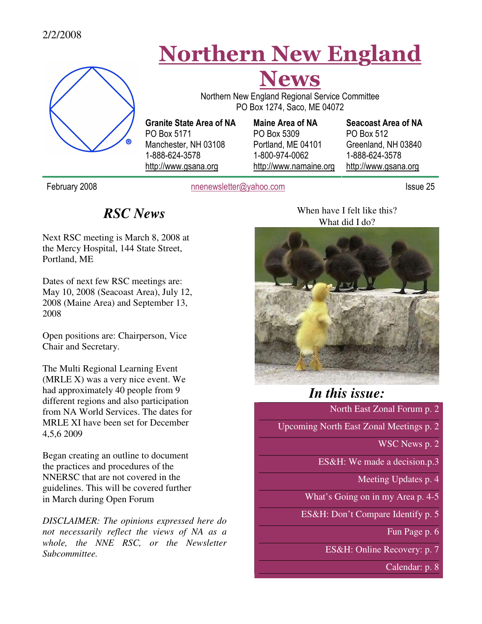#### 2/2/2008



Northern New England

News

Northern New England Regional Service Committee PO Box 1274, Saco, ME 04072

Granite State Area of NA PO Box 5171 Manchester, NH 03108 1-888-624-3578 http://www.gsana.org

Maine Area of NA PO Box 5309 Portland, ME 04101 1-800-974-0062 http://www.namaine.org

Seacoast Area of NA PO Box 512 Greenland, NH 03840 1-888-624-3578 http://www.gsana.org

February 2008 hnenewsletter@yahoo.com Issue 25

## *RSC News*

Next RSC meeting is March 8, 2008 at the Mercy Hospital, 144 State Street, Portland, ME

Dates of next few RSC meetings are: May 10, 2008 (Seacoast Area), July 12, 2008 (Maine Area) and September 13, 2008

Open positions are: Chairperson, Vice Chair and Secretary.

The Multi Regional Learning Event (MRLE X) was a very nice event. We had approximately 40 people from 9 different regions and also participation from NA World Services. The dates for MRLE XI have been set for December 4,5,6 2009

Began creating an outline to document the practices and procedures of the NNERSC that are not covered in the guidelines. This will be covered further in March during Open Forum

*DISCLAIMER: The opinions expressed here do not necessarily reflect the views of NA as a whole, the NNE RSC, or the Newsletter Subcommittee.* 

When have I felt like this? What did I do?



*In this issue:*

North East Zonal Forum p. 2

Upcoming North East Zonal Meetings p. 2

WSC News p. 2

ES&H: We made a decision.p.3

Meeting Updates p. 4

What's Going on in my Area p. 4-5

ES&H: Don't Compare Identify p. 5

Fun Page p. 6

ES&H: Online Recovery: p. 7

Calendar: p. 8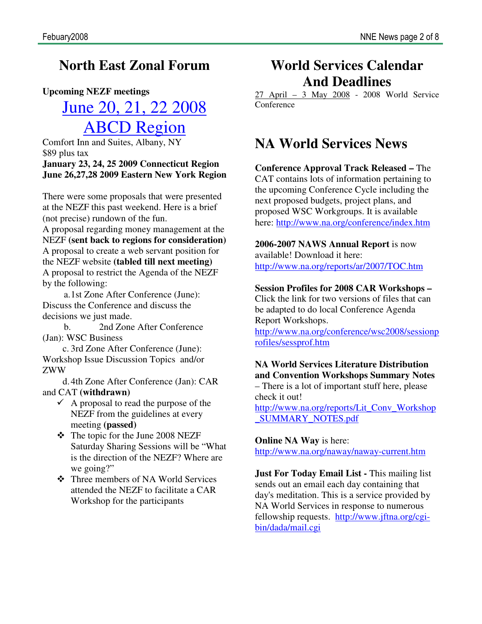# **North East Zonal Forum**

#### **Upcoming NEZF meetings**

June 20, 21, 22 2008 ABCD Region

Comfort Inn and Suites, Albany, NY \$89 plus tax

**January 23, 24, 25 2009 Connecticut Region June 26,27,28 2009 Eastern New York Region** 

There were some proposals that were presented at the NEZF this past weekend. Here is a brief (not precise) rundown of the fun.

A proposal regarding money management at the NEZF **(sent back to regions for consideration)**  A proposal to create a web servant position for the NEZF website **(tabled till next meeting)**  A proposal to restrict the Agenda of the NEZF by the following:

a. 1st Zone After Conference (June): Discuss the Conference and discuss the decisions we just made.

b. 2nd Zone After Conference (Jan): WSC Business

c. 3rd Zone After Conference (June): Workshop Issue Discussion Topics and/or ZWW

d. 4th Zone After Conference (Jan): CAR and CAT **(withdrawn)**

- $\checkmark$  A proposal to read the purpose of the NEZF from the guidelines at every meeting **(passed)**
- The topic for the June 2008 NEZF Saturday Sharing Sessions will be "What is the direction of the NEZF? Where are we going?"
- Three members of NA World Services attended the NEZF to facilitate a CAR Workshop for the participants

## **World Services Calendar And Deadlines**

27 April – 3 May 2008 - 2008 World Service **Conference** 

## **NA World Services News**

**Conference Approval Track Released –** The CAT contains lots of information pertaining to the upcoming Conference Cycle including the next proposed budgets, project plans, and proposed WSC Workgroups. It is available here: http://www.na.org/conference/index.htm

**2006-2007 NAWS Annual Report** is now available! Download it here: http://www.na.org/reports/ar/2007/TOC.htm

#### **Session Profiles for 2008 CAR Workshops –**

Click the link for two versions of files that can be adapted to do local Conference Agenda Report Workshops.

http://www.na.org/conference/wsc2008/sessionp rofiles/sessprof.htm

**NA World Services Literature Distribution and Convention Workshops Summary Notes**  – There is a lot of important stuff here, please check it out!

http://www.na.org/reports/Lit\_Conv\_Workshop \_SUMMARY\_NOTES.pdf

**Online NA Way** is here:

http://www.na.org/naway/naway-current.htm

**Just For Today Email List -** This mailing list sends out an email each day containing that day's meditation. This is a service provided by NA World Services in response to numerous fellowship requests. http://www.jftna.org/cgibin/dada/mail.cgi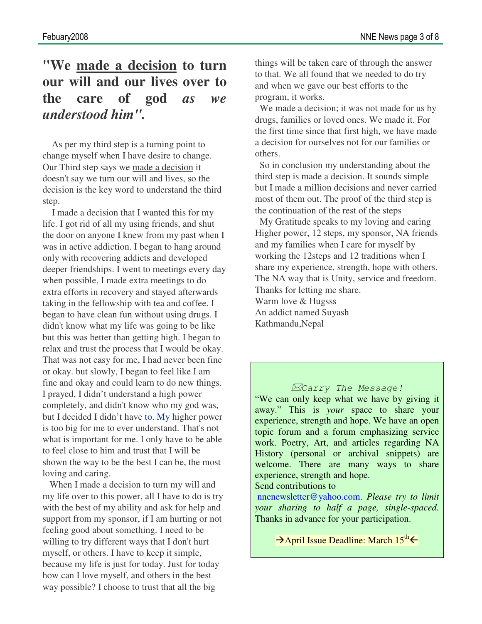## **"We made a decision to turn our will and our lives over to the care of god** *as we understood him".*

As per my third step is a turning point to change myself when I have desire to change. Our Third step says we made a decision it doesn't say we turn our will and lives, so the decision is the key word to understand the third step.

I made a decision that I wanted this for my life. I got rid of all my using friends, and shut the door on anyone I knew from my past when I was in active addiction. I began to hang around only with recovering addicts and developed deeper friendships. I went to meetings every day when possible, I made extra meetings to do extra efforts in recovery and stayed afterwards taking in the fellowship with tea and coffee. I began to have clean fun without using drugs. I didn't know what my life was going to be like but this was better than getting high. I began to relax and trust the process that I would be okay. That was not easy for me, I had never been fine or okay. but slowly, I began to feel like I am fine and okay and could learn to do new things. I prayed, I didn't understand a high power completely, and didn't know who my god was, but I decided I didn't have to. My higher power is too big for me to ever understand. That's not what is important for me. I only have to be able to feel close to him and trust that I will be shown the way to be the best I can be, the most loving and caring.

 When I made a decision to turn my will and my life over to this power, all I have to do is try with the best of my ability and ask for help and support from my sponsor, if I am hurting or not feeling good about something. I need to be willing to try different ways that I don't hurt myself, or others. I have to keep it simple, because my life is just for today. Just for today how can I love myself, and others in the best way possible? I choose to trust that all the big

things will be taken care of through the answer to that. We all found that we needed to do try and when we gave our best efforts to the program, it works.

 We made a decision; it was not made for us by drugs, families or loved ones. We made it. For the first time since that first high, we have made a decision for ourselves not for our families or others.

 So in conclusion my understanding about the third step is made a decision. It sounds simple but I made a million decisions and never carried most of them out. The proof of the third step is the continuation of the rest of the steps

 My Gratitude speaks to my loving and caring Higher power, 12 steps, my sponsor, NA friends and my families when I care for myself by working the 12steps and 12 traditions when I share my experience, strength, hope with others. The NA way that is Unity, service and freedom. Thanks for letting me share. Warm love & Hugsss An addict named Suyash Kathmandu,Nepal

#### Carry The Message!

"We can only keep what we have by giving it away." This is *your* space to share your experience, strength and hope. We have an open topic forum and a forum emphasizing service work. Poetry, Art, and articles regarding NA History (personal or archival snippets) are welcome. There are many ways to share experience, strength and hope.

Send contributions to

nnenewsletter@yahoo.com. *Please try to limit your sharing to half a page, single-spaced.* Thanks in advance for your participation.

 $\rightarrow$  April Issue Deadline: March 15<sup>th</sup>  $\leftarrow$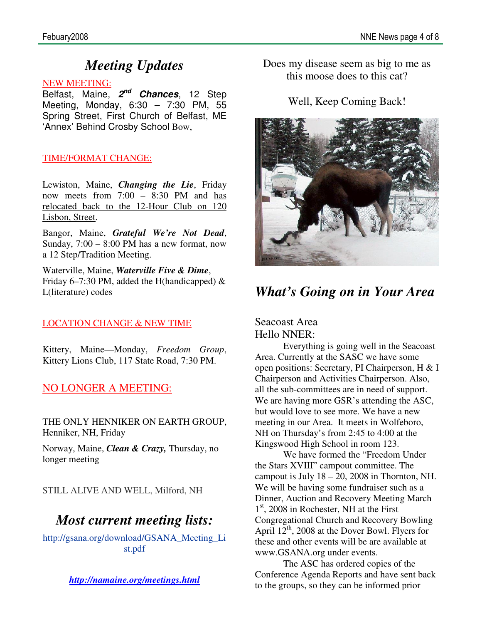## *Meeting Updates*

#### NEW MEETING:

Belfast, Maine, **2 nd Chances**, 12 Step Meeting, Monday, 6:30 – 7:30 PM, 55 Spring Street, First Church of Belfast, ME 'Annex' Behind Crosby School Bow,

#### TIME/FORMAT CHANGE:

Lewiston, Maine, *Changing the Lie*, Friday now meets from 7:00 – 8:30 PM and has relocated back to the 12-Hour Club on 120 Lisbon, Street.

Bangor, Maine, *Grateful We're Not Dead*, Sunday,  $7:00 - 8:00$  PM has a new format, now a 12 Step/Tradition Meeting.

Waterville, Maine, *Waterville Five & Dime*, Friday 6–7:30 PM, added the H(handicapped)  $\&$ L(literature) codes

#### LOCATION CHANGE & NEW TIME

Kittery, Maine—Monday, *Freedom Group*, Kittery Lions Club, 117 State Road, 7:30 PM.

#### NO LONGER A MEETING:

THE ONLY HENNIKER ON EARTH GROUP, Henniker, NH, Friday

Norway, Maine, *Clean & Crazy,* Thursday, no longer meeting

STILL ALIVE AND WELL, Milford, NH

## *Most current meeting lists:*

http://gsana.org/download/GSANA\_Meeting\_Li st.pdf

*http://namaine.org/meetings.html*

Does my disease seem as big to me as this moose does to this cat?

Well, Keep Coming Back!



## *What's Going on in Your Area*

#### Seacoast Area Hello NNER:

Everything is going well in the Seacoast Area. Currently at the SASC we have some open positions: Secretary, PI Chairperson, H & I Chairperson and Activities Chairperson. Also, all the sub-committees are in need of support. We are having more GSR's attending the ASC, but would love to see more. We have a new meeting in our Area. It meets in Wolfeboro, NH on Thursday's from 2:45 to 4:00 at the Kingswood High School in room 123.

We have formed the "Freedom Under the Stars XVIII" campout committee. The campout is July  $18 - 20$ ,  $2008$  in Thornton, NH. We will be having some fundraiser such as a Dinner, Auction and Recovery Meeting March 1 st, 2008 in Rochester, NH at the First Congregational Church and Recovery Bowling April  $12^{th}$ , 2008 at the Dover Bowl. Flyers for these and other events will be are available at www.GSANA.org under events.

The ASC has ordered copies of the Conference Agenda Reports and have sent back to the groups, so they can be informed prior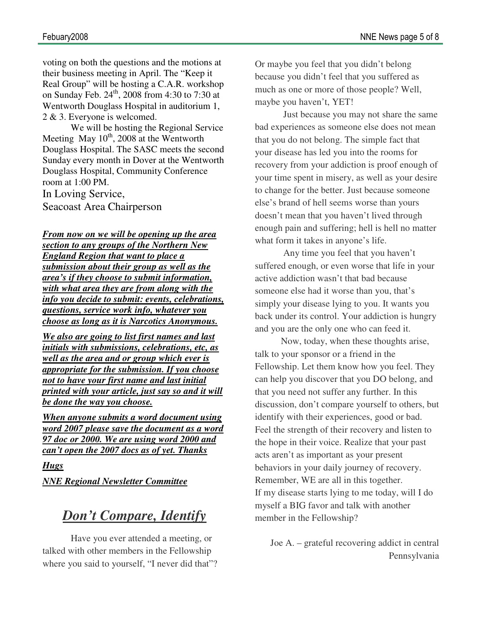voting on both the questions and the motions at their business meeting in April. The "Keep it Real Group" will be hosting a C.A.R. workshop on Sunday Feb.  $24^{th}$ , 2008 from 4:30 to 7:30 at Wentworth Douglass Hospital in auditorium 1, 2 & 3. Everyone is welcomed.

We will be hosting the Regional Service Meeting May  $10^{th}$ , 2008 at the Wentworth Douglass Hospital. The SASC meets the second Sunday every month in Dover at the Wentworth Douglass Hospital, Community Conference room at 1:00 PM.

In Loving Service,

Seacoast Area Chairperson

*From now on we will be opening up the area section to any groups of the Northern New England Region that want to place a submission about their group as well as the area's if they choose to submit information, with what area they are from along with the info you decide to submit: events, celebrations, questions, service work info, whatever you choose as long as it is Narcotics Anonymous.*

*We also are going to list first names and last initials with submissions, celebrations, etc, as well as the area and or group which ever is appropriate for the submission. If you choose not to have your first name and last initial printed with your article, just say so and it will be done the way you choose.*

*When anyone submits a word document using word 2007 please save the document as a word 97 doc or 2000. We are using word 2000 and can't open the 2007 docs as of yet. Thanks*

*Hugs*

*NNE Regional Newsletter Committee*

### *Don't Compare, Identify*

Have you ever attended a meeting, or talked with other members in the Fellowship where you said to yourself, "I never did that"? Or maybe you feel that you didn't belong because you didn't feel that you suffered as much as one or more of those people? Well, maybe you haven't, YET!

Just because you may not share the same bad experiences as someone else does not mean that you do not belong. The simple fact that your disease has led you into the rooms for recovery from your addiction is proof enough of your time spent in misery, as well as your desire to change for the better. Just because someone else's brand of hell seems worse than yours doesn't mean that you haven't lived through enough pain and suffering; hell is hell no matter what form it takes in anyone's life.

Any time you feel that you haven't suffered enough, or even worse that life in your active addiction wasn't that bad because someone else had it worse than you, that's simply your disease lying to you. It wants you back under its control. Your addiction is hungry and you are the only one who can feed it.

 Now, today, when these thoughts arise, talk to your sponsor or a friend in the Fellowship. Let them know how you feel. They can help you discover that you DO belong, and that you need not suffer any further. In this discussion, don't compare yourself to others, but identify with their experiences, good or bad. Feel the strength of their recovery and listen to the hope in their voice. Realize that your past acts aren't as important as your present behaviors in your daily journey of recovery. Remember, WE are all in this together. If my disease starts lying to me today, will I do myself a BIG favor and talk with another member in the Fellowship?

Joe A. – grateful recovering addict in central Pennsylvania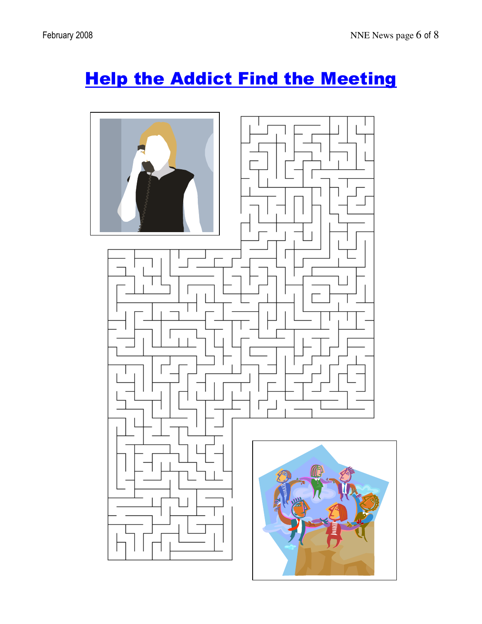# **Help the Addict Find the Meeting**

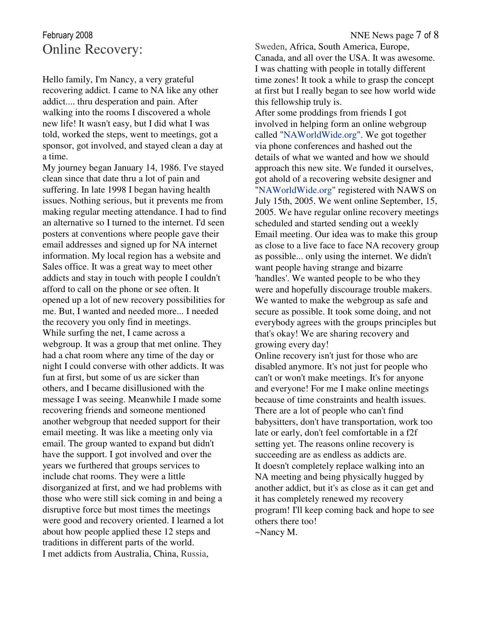Hello family, I'm Nancy, a very grateful recovering addict. I came to NA like any other addict.... thru desperation and pain. After walking into the rooms I discovered a whole new life! It wasn't easy, but I did what I was told, worked the steps, went to meetings, got a sponsor, got involved, and stayed clean a day at a time.

My journey began January 14, 1986. I've stayed clean since that date thru a lot of pain and suffering. In late 1998 I began having health issues. Nothing serious, but it prevents me from making regular meeting attendance. I had to find an alternative so I turned to the internet. I'd seen posters at conventions where people gave their email addresses and signed up for NA internet information. My local region has a website and Sales office. It was a great way to meet other addicts and stay in touch with people I couldn't afford to call on the phone or see often. It opened up a lot of new recovery possibilities for me. But, I wanted and needed more... I needed the recovery you only find in meetings. While surfing the net, I came across a webgroup. It was a group that met online. They had a chat room where any time of the day or night I could converse with other addicts. It was fun at first, but some of us are sicker than others, and I became disillusioned with the message I was seeing. Meanwhile I made some recovering friends and someone mentioned another webgroup that needed support for their email meeting. It was like a meeting only via email. The group wanted to expand but didn't have the support. I got involved and over the years we furthered that groups services to include chat rooms. They were a little disorganized at first, and we had problems with those who were still sick coming in and being a disruptive force but most times the meetings were good and recovery oriented. I learned a lot about how people applied these 12 steps and traditions in different parts of the world. I met addicts from Australia, China, Russia,

Sweden, Africa, South America, Europe, Canada, and all over the USA. It was awesome. I was chatting with people in totally different time zones! It took a while to grasp the concept at first but I really began to see how world wide this fellowship truly is.

After some proddings from friends I got involved in helping form an online webgroup called "NAWorldWide.org". We got together via phone conferences and hashed out the details of what we wanted and how we should approach this new site. We funded it ourselves, got ahold of a recovering website designer and "NAWorldWide.org" registered with NAWS on July 15th, 2005. We went online September, 15, 2005. We have regular online recovery meetings scheduled and started sending out a weekly Email meeting. Our idea was to make this group as close to a live face to face NA recovery group as possible... only using the internet. We didn't want people having strange and bizarre 'handles'. We wanted people to be who they were and hopefully discourage trouble makers. We wanted to make the webgroup as safe and secure as possible. It took some doing, and not everybody agrees with the groups principles but that's okay! We are sharing recovery and growing every day!

Online recovery isn't just for those who are disabled anymore. It's not just for people who can't or won't make meetings. It's for anyone and everyone! For me I make online meetings because of time constraints and health issues. There are a lot of people who can't find babysitters, don't have transportation, work too late or early, don't feel comfortable in a f2f setting yet. The reasons online recovery is succeeding are as endless as addicts are. It doesn't completely replace walking into an NA meeting and being physically hugged by another addict, but it's as close as it can get and it has completely renewed my recovery program! I'll keep coming back and hope to see others there too!

~Nancy M.